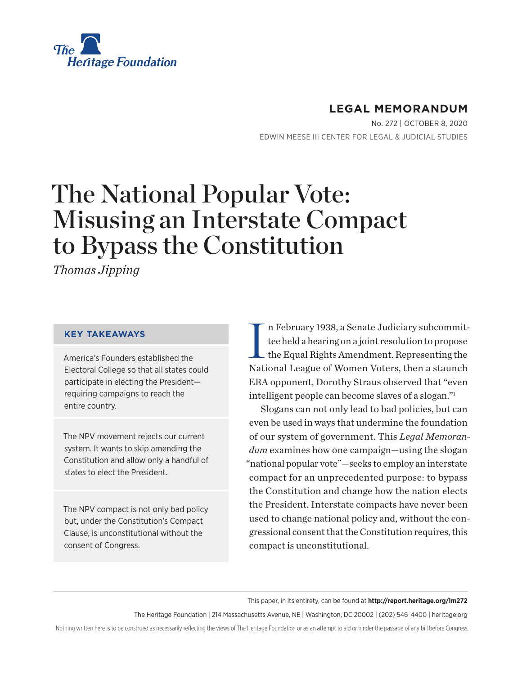

## **LEGAL MEMORANDUM**

No. 272 | October 8, 2020 EDWIN MEESE III CENTER FOR LEGAL & JUDICIAL STUDIES

# The National Popular Vote: Misusing an Interstate Compact to Bypass the Constitution

*Thomas Jipping*

#### **KEY TAKEAWAYS**

America's Founders established the Electoral College so that all states could participate in electing the President requiring campaigns to reach the entire country.

The NPV movement rejects our current system. It wants to skip amending the Constitution and allow only a handful of states to elect the President.

The NPV compact is not only bad policy but, under the Constitution's Compact Clause, is unconstitutional without the consent of Congress.

I n February 1938, a Senate Judiciary subcommittee held a hearing on a joint resolution to propose the Equal Rights Amendment. Representing the National League of Women Voters, then a staunch ERA opponent, Dorothy Straus observed that "even intelligent people can become slaves of a slogan."1

Slogans can not only lead to bad policies, but can even be used in ways that undermine the foundation of our system of government. This *Legal Memorandum* examines how one campaign—using the slogan "national popular vote"—seeks to employ an interstate compact for an unprecedented purpose: to bypass the Constitution and change how the nation elects the President. Interstate compacts have never been used to change national policy and, without the congressional consent that the Constitution requires, this compact is unconstitutional.

This paper, in its entirety, can be found at **http://report.heritage.org/lm272**

The Heritage Foundation | 214 Massachusetts Avenue, NE | Washington, DC 20002 | (202) 546-4400 | heritage.org

Nothing written here is to be construed as necessarily reflecting the views of The Heritage Foundation or as an attempt to aid or hinder the passage of any bill before Congress.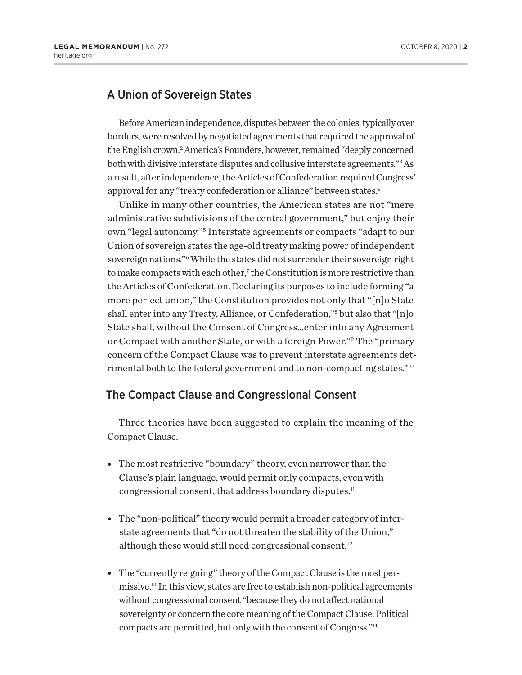#### A Union of Sovereign States

Before American independence, disputes between the colonies, typically over borders, were resolved by negotiated agreements that required the approval of the English crown.<sup>2</sup> America's Founders, however, remained "deeply concerned both with divisive interstate disputes and collusive interstate agreements."<sup>3</sup> As a result, after independence, the Articles of Confederation required Congress' approval for any "treaty confederation or alliance" between states.4

Unlike in many other countries, the American states are not "mere administrative subdivisions of the central government," but enjoy their own "legal autonomy."5 Interstate agreements or compacts "adapt to our Union of sovereign states the age-old treaty making power of independent sovereign nations."6 While the states did not surrender their sovereign right to make compacts with each other,<sup>7</sup> the Constitution is more restrictive than the Articles of Confederation. Declaring its purposes to include forming "a more perfect union," the Constitution provides not only that "[n]o State shall enter into any Treaty, Alliance, or Confederation,"8 but also that "[n]o State shall, without the Consent of Congress…enter into any Agreement or Compact with another State, or with a foreign Power."9 The "primary concern of the Compact Clause was to prevent interstate agreements detrimental both to the federal government and to non-compacting states."10

#### The Compact Clause and Congressional Consent

Three theories have been suggested to explain the meaning of the Compact Clause.

- The most restrictive "boundary" theory, even narrower than the Clause's plain language, would permit only compacts, even with congressional consent, that address boundary disputes.<sup>11</sup>
- The "non-political" theory would permit a broader category of interstate agreements that "do not threaten the stability of the Union," although these would still need congressional consent.<sup>12</sup>
- The "currently reigning" theory of the Compact Clause is the most permissive.13 In this view, states are free to establish non-political agreements without congressional consent "because they do not affect national sovereignty or concern the core meaning of the Compact Clause. Political compacts are permitted, but only with the consent of Congress."14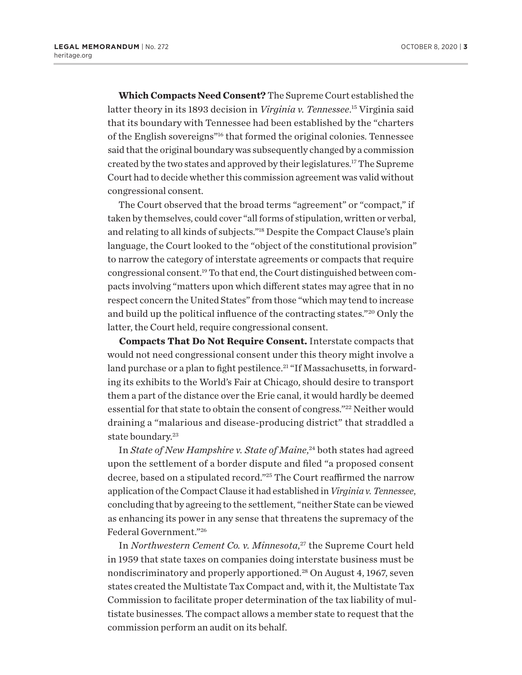**Which Compacts Need Consent?** The Supreme Court established the latter theory in its 1893 decision in *Virginia v. Tennessee*. 15 Virginia said that its boundary with Tennessee had been established by the "charters of the English sovereigns"16 that formed the original colonies. Tennessee said that the original boundary was subsequently changed by a commission created by the two states and approved by their legislatures.17 The Supreme Court had to decide whether this commission agreement was valid without congressional consent.

The Court observed that the broad terms "agreement" or "compact," if taken by themselves, could cover "all forms of stipulation, written or verbal, and relating to all kinds of subjects."18 Despite the Compact Clause's plain language, the Court looked to the "object of the constitutional provision" to narrow the category of interstate agreements or compacts that require congressional consent.19 To that end, the Court distinguished between compacts involving "matters upon which different states may agree that in no respect concern the United States" from those "which may tend to increase and build up the political influence of the contracting states."20 Only the latter, the Court held, require congressional consent.

**Compacts That Do Not Require Consent.** Interstate compacts that would not need congressional consent under this theory might involve a land purchase or a plan to fight pestilence.<sup>21</sup> "If Massachusetts, in forwarding its exhibits to the World's Fair at Chicago, should desire to transport them a part of the distance over the Erie canal, it would hardly be deemed essential for that state to obtain the consent of congress."<sup>22</sup> Neither would draining a "malarious and disease-producing district" that straddled a state boundary.<sup>23</sup>

In *State of New Hampshire v. State of Maine*, 24 both states had agreed upon the settlement of a border dispute and filed "a proposed consent decree, based on a stipulated record."25 The Court reaffirmed the narrow application of the Compact Clause it had established in *Virginia v. Tennessee*, concluding that by agreeing to the settlement, "neither State can be viewed as enhancing its power in any sense that threatens the supremacy of the Federal Government."26

In *Northwestern Cement Co. v. Minnesota*, 27 the Supreme Court held in 1959 that state taxes on companies doing interstate business must be nondiscriminatory and properly apportioned.28 On August 4, 1967, seven states created the Multistate Tax Compact and, with it, the Multistate Tax Commission to facilitate proper determination of the tax liability of multistate businesses. The compact allows a member state to request that the commission perform an audit on its behalf.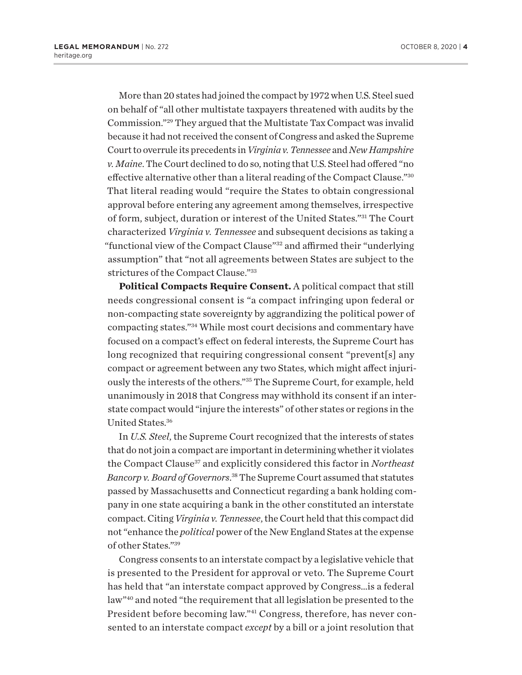More than 20 states had joined the compact by 1972 when U.S. Steel sued on behalf of "all other multistate taxpayers threatened with audits by the Commission."29 They argued that the Multistate Tax Compact was invalid because it had not received the consent of Congress and asked the Supreme Court to overrule its precedents in *Virginia v. Tennessee* and *New Hampshire v. Maine*. The Court declined to do so, noting that U.S. Steel had offered "no effective alternative other than a literal reading of the Compact Clause."30 That literal reading would "require the States to obtain congressional approval before entering any agreement among themselves, irrespective of form, subject, duration or interest of the United States."31 The Court characterized *Virginia v. Tennessee* and subsequent decisions as taking a "functional view of the Compact Clause"32 and affirmed their "underlying assumption" that "not all agreements between States are subject to the strictures of the Compact Clause."33

**Political Compacts Require Consent.** A political compact that still needs congressional consent is "a compact infringing upon federal or non-compacting state sovereignty by aggrandizing the political power of compacting states."34 While most court decisions and commentary have focused on a compact's effect on federal interests, the Supreme Court has long recognized that requiring congressional consent "prevent[s] any compact or agreement between any two States, which might affect injuriously the interests of the others."35 The Supreme Court, for example, held unanimously in 2018 that Congress may withhold its consent if an interstate compact would "injure the interests" of other states or regions in the United States.36

In *U.S. Steel*, the Supreme Court recognized that the interests of states that do not join a compact are important in determining whether it violates the Compact Clause<sup>37</sup> and explicitly considered this factor in *Northeast Bancorp v. Board of Governors*. <sup>38</sup> The Supreme Court assumed that statutes passed by Massachusetts and Connecticut regarding a bank holding company in one state acquiring a bank in the other constituted an interstate compact. Citing *Virginia v. Tennessee*, the Court held that this compact did not "enhance the *political* power of the New England States at the expense of other States."39

Congress consents to an interstate compact by a legislative vehicle that is presented to the President for approval or veto. The Supreme Court has held that "an interstate compact approved by Congress…is a federal law"40 and noted "the requirement that all legislation be presented to the President before becoming law."41 Congress, therefore, has never consented to an interstate compact *except* by a bill or a joint resolution that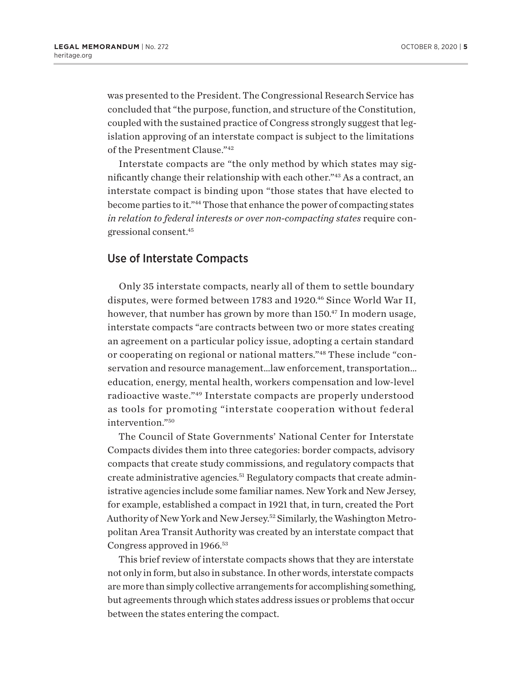was presented to the President. The Congressional Research Service has concluded that "the purpose, function, and structure of the Constitution, coupled with the sustained practice of Congress strongly suggest that legislation approving of an interstate compact is subject to the limitations of the Presentment Clause."42

Interstate compacts are "the only method by which states may significantly change their relationship with each other."43 As a contract, an interstate compact is binding upon "those states that have elected to become parties to it."44 Those that enhance the power of compacting states *in relation to federal interests or over non-compacting states* require congressional consent.45

#### Use of Interstate Compacts

Only 35 interstate compacts, nearly all of them to settle boundary disputes, were formed between 1783 and 1920.<sup>46</sup> Since World War II, however, that number has grown by more than 150.<sup>47</sup> In modern usage, interstate compacts "are contracts between two or more states creating an agreement on a particular policy issue, adopting a certain standard or cooperating on regional or national matters."48 These include "conservation and resource management…law enforcement, transportation… education, energy, mental health, workers compensation and low-level radioactive waste."49 Interstate compacts are properly understood as tools for promoting "interstate cooperation without federal intervention."50

The Council of State Governments' National Center for Interstate Compacts divides them into three categories: border compacts, advisory compacts that create study commissions, and regulatory compacts that create administrative agencies.<sup>51</sup> Regulatory compacts that create administrative agencies include some familiar names. New York and New Jersey, for example, established a compact in 1921 that, in turn, created the Port Authority of New York and New Jersey.52 Similarly, the Washington Metropolitan Area Transit Authority was created by an interstate compact that Congress approved in 1966.53

This brief review of interstate compacts shows that they are interstate not only in form, but also in substance. In other words, interstate compacts are more than simply collective arrangements for accomplishing something, but agreements through which states address issues or problems that occur between the states entering the compact.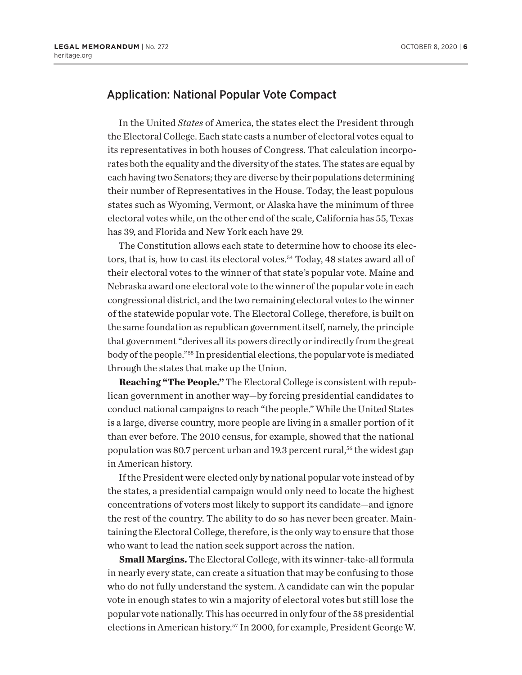#### Application: National Popular Vote Compact

In the United *States* of America, the states elect the President through the Electoral College. Each state casts a number of electoral votes equal to its representatives in both houses of Congress. That calculation incorporates both the equality and the diversity of the states. The states are equal by each having two Senators; they are diverse by their populations determining their number of Representatives in the House. Today, the least populous states such as Wyoming, Vermont, or Alaska have the minimum of three electoral votes while, on the other end of the scale, California has 55, Texas has 39, and Florida and New York each have 29.

The Constitution allows each state to determine how to choose its electors, that is, how to cast its electoral votes.<sup>54</sup> Today, 48 states award all of their electoral votes to the winner of that state's popular vote. Maine and Nebraska award one electoral vote to the winner of the popular vote in each congressional district, and the two remaining electoral votes to the winner of the statewide popular vote. The Electoral College, therefore, is built on the same foundation as republican government itself, namely, the principle that government "derives all its powers directly or indirectly from the great body of the people."55 In presidential elections, the popular vote is mediated through the states that make up the Union.

**Reaching "The People."** The Electoral College is consistent with republican government in another way—by forcing presidential candidates to conduct national campaigns to reach "the people." While the United States is a large, diverse country, more people are living in a smaller portion of it than ever before. The 2010 census, for example, showed that the national population was 80.7 percent urban and 19.3 percent rural,<sup>56</sup> the widest gap in American history.

If the President were elected only by national popular vote instead of by the states, a presidential campaign would only need to locate the highest concentrations of voters most likely to support its candidate—and ignore the rest of the country. The ability to do so has never been greater. Maintaining the Electoral College, therefore, is the only way to ensure that those who want to lead the nation seek support across the nation.

**Small Margins.** The Electoral College, with its winner-take-all formula in nearly every state, can create a situation that may be confusing to those who do not fully understand the system. A candidate can win the popular vote in enough states to win a majority of electoral votes but still lose the popular vote nationally. This has occurred in only four of the 58 presidential elections in American history.57 In 2000, for example, President George W.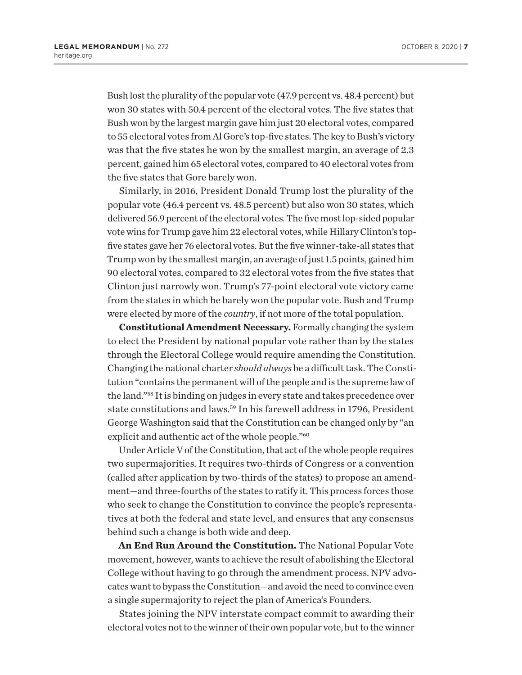Bush lost the plurality of the popular vote (47.9 percent vs. 48.4 percent) but won 30 states with 50.4 percent of the electoral votes. The five states that Bush won by the largest margin gave him just 20 electoral votes, compared to 55 electoral votes from Al Gore's top-five states. The key to Bush's victory was that the five states he won by the smallest margin, an average of 2.3 percent, gained him 65 electoral votes, compared to 40 electoral votes from the five states that Gore barely won.

Similarly, in 2016, President Donald Trump lost the plurality of the popular vote (46.4 percent vs. 48.5 percent) but also won 30 states, which delivered 56.9 percent of the electoral votes. The five most lop-sided popular vote wins for Trump gave him 22 electoral votes, while Hillary Clinton's topfive states gave her 76 electoral votes. But the five winner-take-all states that Trump won by the smallest margin, an average of just 1.5 points, gained him 90 electoral votes, compared to 32 electoral votes from the five states that Clinton just narrowly won. Trump's 77-point electoral vote victory came from the states in which he barely won the popular vote. Bush and Trump were elected by more of the *country*, if not more of the total population.

**Constitutional Amendment Necessary.** Formally changing the system to elect the President by national popular vote rather than by the states through the Electoral College would require amending the Constitution. Changing the national charter *should always* be a difficult task. The Constitution "contains the permanent will of the people and is the supreme law of the land."58 It is binding on judges in every state and takes precedence over state constitutions and laws.<sup>59</sup> In his farewell address in 1796, President George Washington said that the Constitution can be changed only by "an explicit and authentic act of the whole people."60

Under Article V of the Constitution, that act of the whole people requires two supermajorities. It requires two-thirds of Congress or a convention (called after application by two-thirds of the states) to propose an amendment—and three-fourths of the states to ratify it. This process forces those who seek to change the Constitution to convince the people's representatives at both the federal and state level, and ensures that any consensus behind such a change is both wide and deep.

**An End Run Around the Constitution.** The National Popular Vote movement, however, wants to achieve the result of abolishing the Electoral College without having to go through the amendment process. NPV advocates want to bypass the Constitution—and avoid the need to convince even a single supermajority to reject the plan of America's Founders.

States joining the NPV interstate compact commit to awarding their electoral votes not to the winner of their own popular vote, but to the winner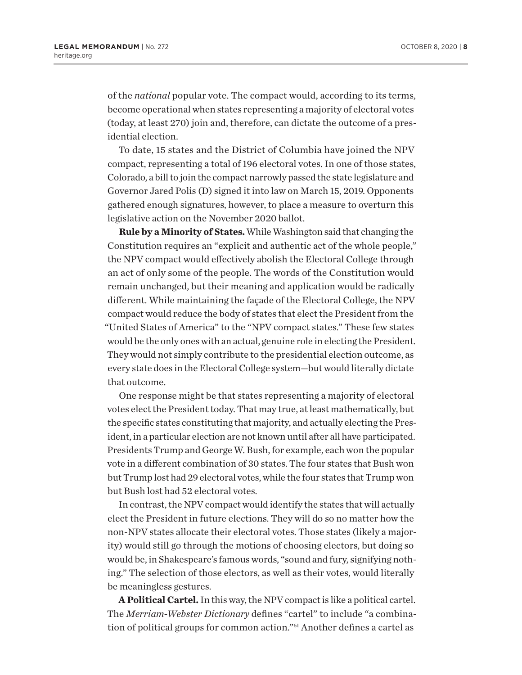of the *national* popular vote. The compact would, according to its terms, become operational when states representing a majority of electoral votes (today, at least 270) join and, therefore, can dictate the outcome of a presidential election.

To date, 15 states and the District of Columbia have joined the NPV compact, representing a total of 196 electoral votes. In one of those states, Colorado, a bill to join the compact narrowly passed the state legislature and Governor Jared Polis (D) signed it into law on March 15, 2019. Opponents gathered enough signatures, however, to place a measure to overturn this legislative action on the November 2020 ballot.

**Rule by a Minority of States.** While Washington said that changing the Constitution requires an "explicit and authentic act of the whole people," the NPV compact would effectively abolish the Electoral College through an act of only some of the people. The words of the Constitution would remain unchanged, but their meaning and application would be radically different. While maintaining the façade of the Electoral College, the NPV compact would reduce the body of states that elect the President from the "United States of America" to the "NPV compact states." These few states would be the only ones with an actual, genuine role in electing the President. They would not simply contribute to the presidential election outcome, as every state does in the Electoral College system—but would literally dictate that outcome.

One response might be that states representing a majority of electoral votes elect the President today. That may true, at least mathematically, but the specific states constituting that majority, and actually electing the President, in a particular election are not known until after all have participated. Presidents Trump and George W. Bush, for example, each won the popular vote in a different combination of 30 states. The four states that Bush won but Trump lost had 29 electoral votes, while the four states that Trump won but Bush lost had 52 electoral votes.

In contrast, the NPV compact would identify the states that will actually elect the President in future elections. They will do so no matter how the non-NPV states allocate their electoral votes. Those states (likely a majority) would still go through the motions of choosing electors, but doing so would be, in Shakespeare's famous words, "sound and fury, signifying nothing." The selection of those electors, as well as their votes, would literally be meaningless gestures.

**A Political Cartel.** In this way, the NPV compact is like a political cartel. The *Merriam-Webster Dictionary* defines "cartel" to include "a combination of political groups for common action."<sup>61</sup> Another defines a cartel as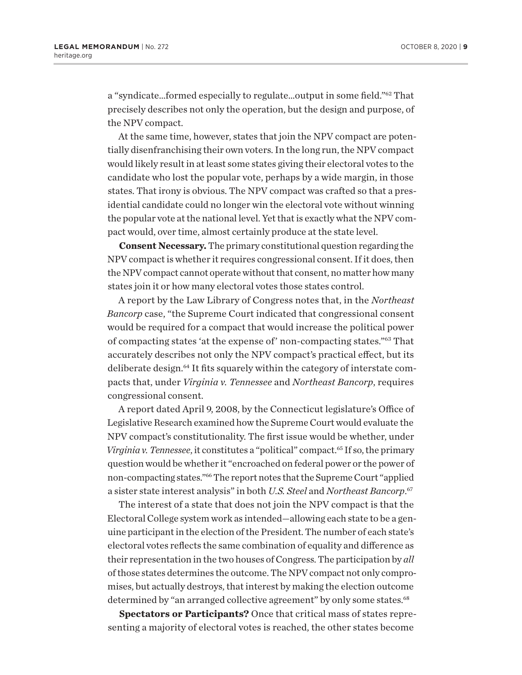a "syndicate…formed especially to regulate…output in some field."62 That precisely describes not only the operation, but the design and purpose, of the NPV compact.

At the same time, however, states that join the NPV compact are potentially disenfranchising their own voters. In the long run, the NPV compact would likely result in at least some states giving their electoral votes to the candidate who lost the popular vote, perhaps by a wide margin, in those states. That irony is obvious. The NPV compact was crafted so that a presidential candidate could no longer win the electoral vote without winning the popular vote at the national level. Yet that is exactly what the NPV compact would, over time, almost certainly produce at the state level.

**Consent Necessary.** The primary constitutional question regarding the NPV compact is whether it requires congressional consent. If it does, then the NPV compact cannot operate without that consent, no matter how many states join it or how many electoral votes those states control.

A report by the Law Library of Congress notes that, in the *Northeast Bancorp* case, "the Supreme Court indicated that congressional consent would be required for a compact that would increase the political power of compacting states 'at the expense of' non-compacting states."63 That accurately describes not only the NPV compact's practical effect, but its deliberate design.64 It fits squarely within the category of interstate compacts that, under *Virginia v. Tennessee* and *Northeast Bancorp*, requires congressional consent.

A report dated April 9, 2008, by the Connecticut legislature's Office of Legislative Research examined how the Supreme Court would evaluate the NPV compact's constitutionality. The first issue would be whether, under *Virginia v. Tennessee*, it constitutes a "political" compact.<sup>65</sup> If so, the primary question would be whether it "encroached on federal power or the power of non-compacting states."66 The report notes that the Supreme Court "applied a sister state interest analysis" in both *U.S. Steel* and *Northeast Bancorp*. 67

The interest of a state that does not join the NPV compact is that the Electoral College system work as intended—allowing each state to be a genuine participant in the election of the President. The number of each state's electoral votes reflects the same combination of equality and difference as their representation in the two houses of Congress. The participation by *all* of those states determines the outcome. The NPV compact not only compromises, but actually destroys, that interest by making the election outcome determined by "an arranged collective agreement" by only some states.<sup>68</sup>

**Spectators or Participants?** Once that critical mass of states representing a majority of electoral votes is reached, the other states become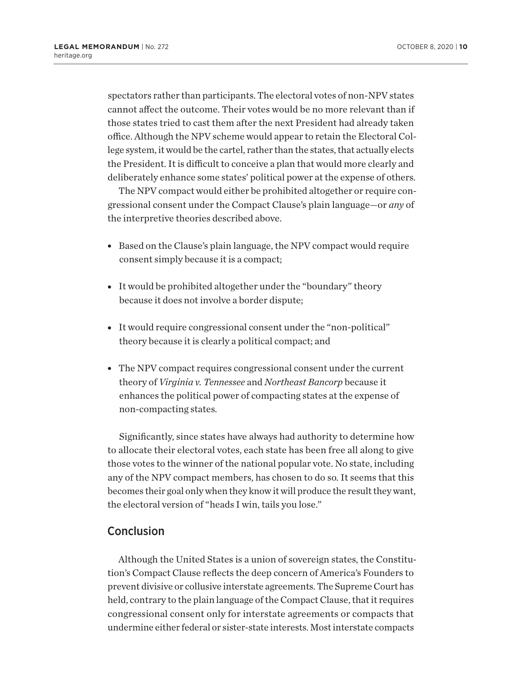spectators rather than participants. The electoral votes of non-NPV states cannot affect the outcome. Their votes would be no more relevant than if those states tried to cast them after the next President had already taken office. Although the NPV scheme would appear to retain the Electoral College system, it would be the cartel, rather than the states, that actually elects the President. It is difficult to conceive a plan that would more clearly and deliberately enhance some states' political power at the expense of others.

The NPV compact would either be prohibited altogether or require congressional consent under the Compact Clause's plain language—or *any* of the interpretive theories described above.

- Based on the Clause's plain language, the NPV compact would require consent simply because it is a compact;
- It would be prohibited altogether under the "boundary" theory because it does not involve a border dispute;
- It would require congressional consent under the "non-political" theory because it is clearly a political compact; and
- The NPV compact requires congressional consent under the current theory of *Virginia v. Tennessee* and *Northeast Bancorp* because it enhances the political power of compacting states at the expense of non-compacting states.

Significantly, since states have always had authority to determine how to allocate their electoral votes, each state has been free all along to give those votes to the winner of the national popular vote. No state, including any of the NPV compact members, has chosen to do so. It seems that this becomes their goal only when they know it will produce the result they want, the electoral version of "heads I win, tails you lose."

#### Conclusion

Although the United States is a union of sovereign states, the Constitution's Compact Clause reflects the deep concern of America's Founders to prevent divisive or collusive interstate agreements. The Supreme Court has held, contrary to the plain language of the Compact Clause, that it requires congressional consent only for interstate agreements or compacts that undermine either federal or sister-state interests. Most interstate compacts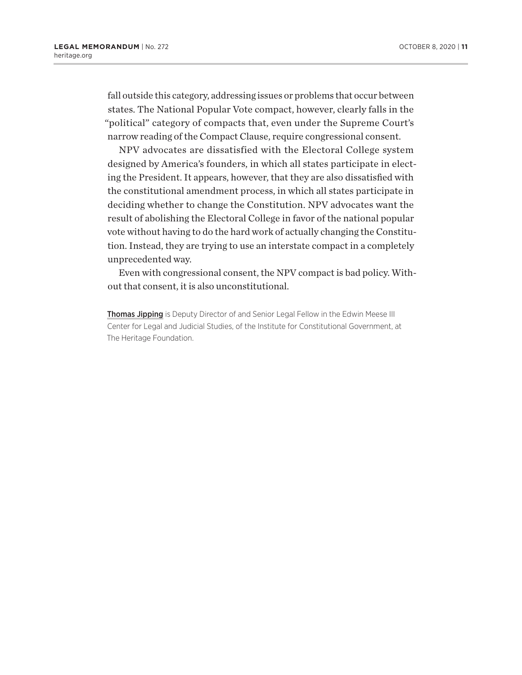fall outside this category, addressing issues or problems that occur between states. The National Popular Vote compact, however, clearly falls in the "political" category of compacts that, even under the Supreme Court's narrow reading of the Compact Clause, require congressional consent.

NPV advocates are dissatisfied with the Electoral College system designed by America's founders, in which all states participate in electing the President. It appears, however, that they are also dissatisfied with the constitutional amendment process, in which all states participate in deciding whether to change the Constitution. NPV advocates want the result of abolishing the Electoral College in favor of the national popular vote without having to do the hard work of actually changing the Constitution. Instead, they are trying to use an interstate compact in a completely unprecedented way.

Even with congressional consent, the NPV compact is bad policy. Without that consent, it is also unconstitutional.

Thomas Jipping is Deputy Director of and Senior Legal Fellow in the Edwin Meese III Center for Legal and Judicial Studies, of the Institute for Constitutional Government, at The Heritage Foundation.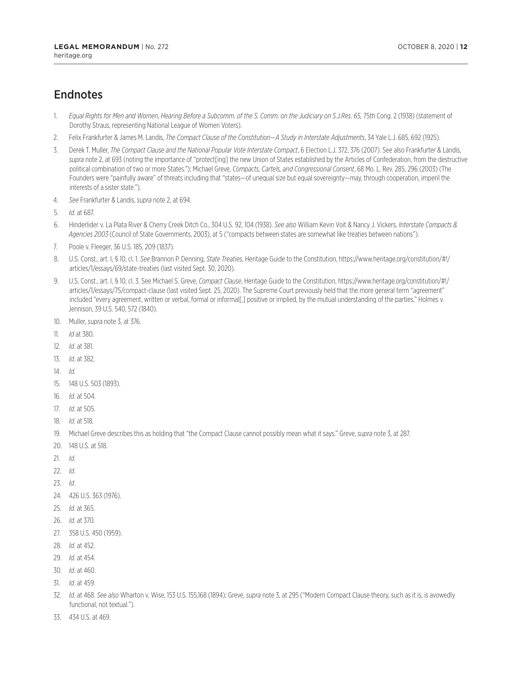### Endnotes

- 1. *Equal Rights for Men and Women, Hearing Before a Subcomm. of the S. Comm. on the Judiciary on S.J.Res. 65, 75th Cong. 2 (1938) (statement of* Dorothy Straus, representing National League of Women Voters).
- 2. Felix Frankfurter & James M. Landis, *The Compact Clause of the Constitution—A Study in Interstate Adjustments*, 34 Yale L.J. 685, 692 (1925).
- 3. Derek T. Muller, *The Compact Clause and the National Popular Vote Interstate Compact*, 6 Election L.J. 372, 376 (2007). See also Frankfurter & Landis, *supra* note 2, at 693 (noting the importance of "protect[ing] the new Union of States established by the Articles of Confederation, from the destructive political combination of two or more States."); Michael Greve, *Compacts, Cartels, and Congressional Consent*, 68 Mo. L. Rev. 285, 296 (2003) (The Founders were "painfully aware" of threats including that "states—of unequal size but equal sovereignty—may, through cooperation, imperil the interests of a sister state.").
- 4. *See* Frankfurter & Landis, *supra* note 2, at 694.
- 5. *Id*. at 687.
- 6. Hinderlider v. La Plata River & Cherry Creek Ditch Co., 304 U.S. 92, 104 (1938). *See also* William Kevin Voit & Nancy J. Vickers, *Interstate Compacts & Agencies 2003* (Council of State Governments, 2003), at 5 ("compacts between states are somewhat like treaties between nations").
- 7. Poole v. Fleeger, 36 U.S. 185, 209 (1837).
- 8. U.S. Const., art. I, § 10, cl. 1. *See* Brannon P. Denning, *State Treaties*, Heritage Guide to the Constitution, https://www.heritage.org/constitution/#!/ articles/1/essays/69/state-treaties (last visited Sept. 30, 2020).
- 9. U.S. Const., art. I, § 10, cl. 3. See Michael S. Greve, *Compact Clause*, Heritage Guide to the Constitution, https://www.heritage.org/constitution/#!/ articles/1/essays/75/compact-clause (last visited Sept. 25, 2020). The Supreme Court previously held that the more general term "agreement" included "every agreement, written or verbal, formal or informal[,] positive or implied, by the mutual understanding of the parties." Holmes v. Jennison, 39 U.S. 540, 572 (1840).
- 10. Muller, *supra* note 3, at 376.
- 11. *Id* at 380.
- 12. *Id*. at 381.
- 13. *Id*. at 382.
- 14. *Id*.
- 15. 148 U.S. 503 (1893).
- 16. *Id*. at 504.
- 17. *Id*. at 505.
- 18. *Id*. at 518.
- 19. Michael Greve describes this as holding that "the Compact Clause cannot possibly mean what it says." Greve, *supra* note 3, at 287.
- 20. 148 U.S. at 518.
- 21. *Id*.
- 22. *Id*.
- 23. *Id*.
- 24. 426 U.S. 363 (1976).
- 25. *Id*. at 365.
- 26. *Id*. at 370.
- 27. 358 U.S. 450 (1959).
- 28. *Id*. at 452.
- 29. *Id*. at 454.
- 30. *Id*. at 460.
- 31. *Id*. at 459.
- 32. *Id*. at 468. *See also* Wharton v. Wise, 153 U.S. 155,168 (1894); Greve, *supra* note 3, at 295 ("Modern Compact Clause theory, such as it is, is avowedly functional, not textual.").
- 33. 434 U.S. at 469.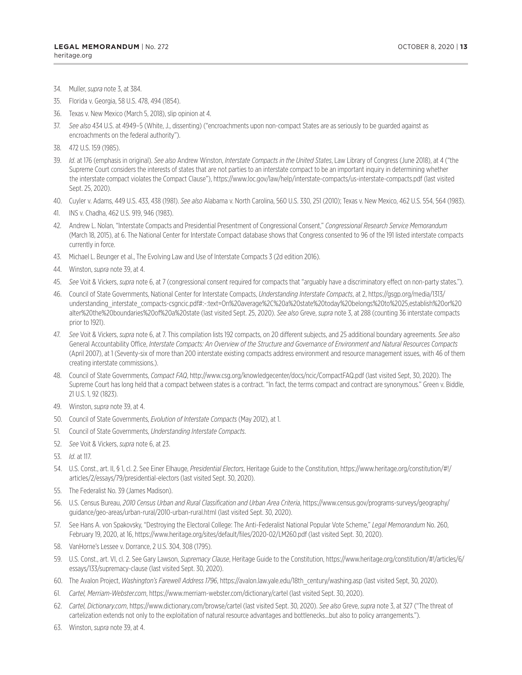- 34. Muller, *supra* note 3, at 384.
- 35. Florida v. Georgia, 58 U.S. 478, 494 (1854).
- 36. Texas v. New Mexico (March 5, 2018), slip opinion at 4.
- 37. *See also* 434 U.S. at 4949–5 (White, J., dissenting) ("encroachments upon non-compact States are as seriously to be guarded against as encroachments on the federal authority").
- 38. 472 U.S. 159 (1985).
- 39. *Id*. at 176 (emphasis in original). *See also* Andrew Winston, *Interstate Compacts in the United States*, Law Library of Congress (June 2018), at 4 ("the Supreme Court considers the interests of states that are not parties to an interstate compact to be an important inquiry in determining whether the interstate compact violates the Compact Clause"), https://www.loc.gov/law/help/interstate-compacts/us-interstate-compacts.pdf (last visited Sept. 25, 2020).
- 40. Cuyler v. Adams, 449 U.S. 433, 438 (1981). *See also* Alabama v. North Carolina, 560 U.S. 330, 251 (2010); Texas v. New Mexico, 462 U.S. 554, 564 (1983).
- 41. INS v. Chadha, 462 U.S. 919, 946 (1983).
- 42. Andrew L. Nolan, "Interstate Compacts and Presidential Presentment of Congressional Consent," *Congressional Research Service Memorandum* (March 18, 2015), at 6. The National Center for Interstate Compact database shows that Congress consented to 96 of the 191 listed interstate compacts currently in force.
- 43. Michael L. Beunger et al., The Evolving Law and Use of Interstate Compacts 3 (2d edition 2016).
- 44. Winston, *supra* note 39, at 4.
- 45. *See* Voit & Vickers, *supra* note 6, at 7 (congressional consent required for compacts that "arguably have a discriminatory effect on non-party states.").
- 46. Council of State Governments, National Center for Interstate Compacts, *Understanding Interstate Compacts*, at 2, https://gsgp.org/media/1313/ understanding\_interstate\_compacts-csgncic.pdf#:~:text=On%20average%2C%20a%20state%20today%20belongs%20to%2025,establish%20or%20 alter%20the%20boundaries%20of%20a%20state (last visited Sept. 25, 2020). *See also* Greve, *supra* note 3, at 288 (counting 36 interstate compacts prior to 1921).
- 47. *See* Voit & Vickers, *supra* note 6, at 7. This compilation lists 192 compacts, on 20 different subjects, and 25 additional boundary agreements. *See also* General Accountability Office, *Interstate Compacts: An Overview of the Structure and Governance of Environment and Natural Resources Compacts* (April 2007), at 1 (Seventy-six of more than 200 interstate existing compacts address environment and resource management issues, with 46 of them creating interstate commissions.).
- 48. Council of State Governments, *Compact FAQ*, http://www.csg.org/knowledgecenter/docs/ncic/CompactFAQ.pdf (last visited Sept, 30, 2020). The Supreme Court has long held that a compact between states is a contract. "In fact, the terms compact and contract are synonymous." Green v. Biddle, 21 U.S. 1, 92 (1823).
- 49. Winston, *supra* note 39, at 4.
- 50. Council of State Governments, *Evolution of Interstate Compacts* (May 2012), at 1.
- 51. Council of State Governments, *Understanding Interstate Compacts*.
- 52. *See* Voit & Vickers, *supra* note 6, at 23.
- 53. *Id*. at 117.
- 54. U.S. Const., art. II, § 1, cl. 2. See Einer Elhauge, *Presidential Electors*, Heritage Guide to the Constitution, https://www.heritage.org/constitution/#!/ articles/2/essays/79/presidential-electors (last visited Sept. 30, 2020).
- 55. The Federalist No. 39 (James Madison).
- 56. U.S. Census Bureau, *2010 Census Urban and Rural Classification and Urban Area Criteria*, https://www.census.gov/programs-surveys/geography/ guidance/geo-areas/urban-rural/2010-urban-rural.html (last visited Sept. 30, 2020).
- 57. See Hans A. von Spakovsky, "Destroying the Electoral College: The Anti-Federalist National Popular Vote Scheme," *Legal Memorandum* No. 260, February 19, 2020, at 16, https://www.heritage.org/sites/default/files/2020-02/LM260.pdf (last visited Sept. 30, 2020).
- 58. VanHorne's Lessee v. Dorrance, 2 U.S. 304, 308 (1795).
- 59. U.S. Const., art. VI, cl. 2. See Gary Lawson, *Supremacy Clause*, Heritage Guide to the Constitution, https://www.heritage.org/constitution/#!/articles/6/ essays/133/supremacy-clause (last visited Sept. 30, 2020).
- 60. The Avalon Project, *Washington's Farewell Address 1796*, https://avalon.law.yale.edu/18th\_century/washing.asp (last visited Sept, 30, 2020).
- 61. *Cartel, Merriam-Webster.com*, https://www.merriam-webster.com/dictionary/cartel (last visited Sept. 30, 2020).
- 62. *Cartel, Dictionary.com*, https://www.dictionary.com/browse/cartel (last visited Sept. 30, 2020). *See also* Greve, *supra* note 3, at 327 ("The threat of cartelization extends not only to the exploitation of natural resource advantages and bottlenecks…but also to policy arrangements.").
- 63. Winston, *supra* note 39, at 4.